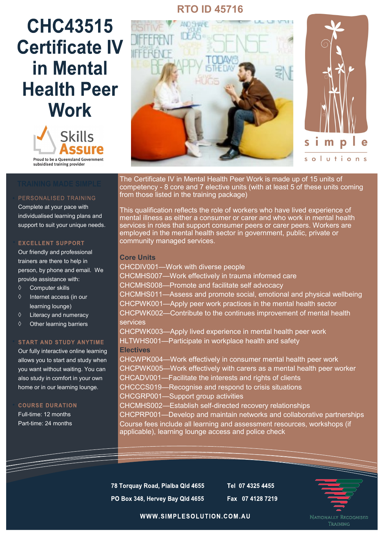# **RTO ID 45716**

# **CHC43515 Certificate IV** in Mental **Health Peer Work**



# PERSONALISED TRAINING

Complete at your pace with individualised learning plans and support to suit your unique needs.

#### **EXCELLENT SUPPORT**

Our friendly and professional trainers are there to help in person, by phone and email. We provide assistance with:

- Computer skills
- $\Diamond$  Internet access (in our learning lounge)
- $\Diamond$  Literacy and numeracy
- $\diamond$  Other learning barriers

### **START AND STUDY ANYTIME**

Our fully interactive online learning allows you to start and study when you want without waiting. You can also study in comfort in your own home or in our learning lounge.

**COURSE DURATION** Full-time: 12 months

Part-time: 24 months





The Certificate IV in Mental Health Peer Work is made up of 15 units of competency - 8 core and 7 elective units (with at least 5 of these units coming from those listed in the training package)

This qualification reflects the role of workers who have lived experience of mental illness as either a consumer or carer and who work in mental health services in roles that support consumer peers or carer peers. Workers are employed in the mental health sector in government, public, private or community managed services.

### **Core Units**

CHCDIV001—Work with diverse people CHCMHS007—Work effectively in trauma informed care CHCMHS008—Promote and facilitate self advocacy CHCMHS011—Assess and promote social, emotional and physical wellbeing CHCPWK001—Apply peer work practices in the mental health sector CHCPWK002—Contribute to the continues improvement of mental health services CHCPWK003—Apply lived experience in mental health peer work HLTWHS001—Participate in workplace health and safety **Electives** CHCWPK004—Work effectively in consumer mental health peer work CHCPWK005—Work effectively with carers as a mental health peer worker CHCADV001—Facilitate the interests and rights of clients CHCCCS019—Recognise and respond to crisis situations CHCGRP001—Support group activities CHCMHS002—Establish self-directed recovery relationships CHCPRP001—Develop and maintain networks and collaborative partnerships Course fees include all learning and assessment resources, workshops (if applicable), learning lounge access and police check

78 Torquay Road, Pialba Qld 4655 PO Box 348, Hervey Bay Qld 4655 Tel 07 4325 4455 Fax 07 4128 7219



WWW.SIMPLESOLUTION.COM.AU